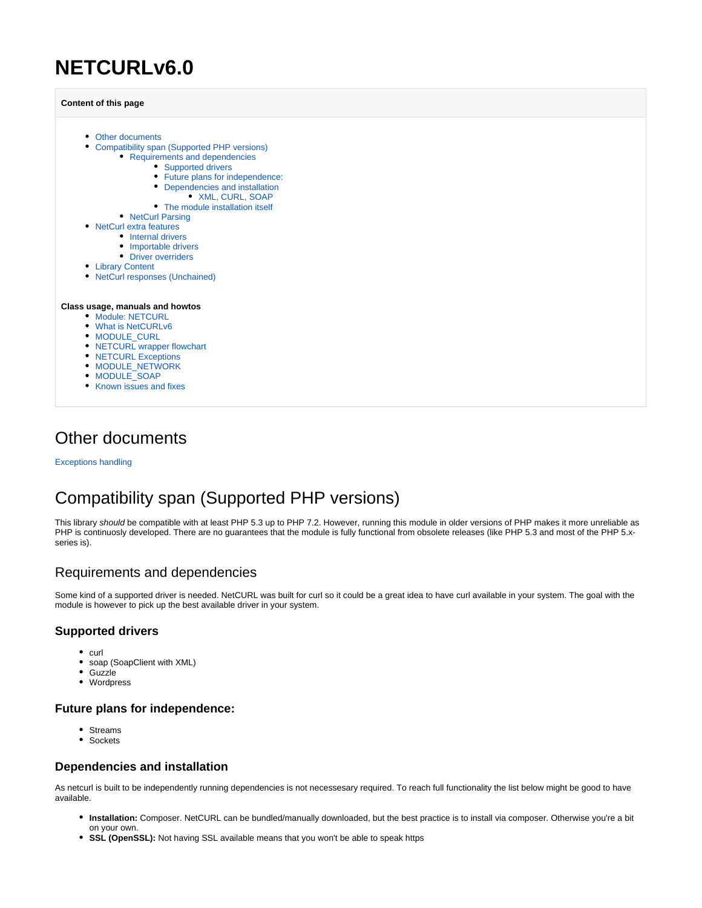# **NETCURLv6.0**

**Content of this page**

- [Other documents](#page-0-0)
	- [Compatibility span \(Supported PHP versions\)](#page-0-1)
		- [Requirements and dependencies](#page-0-2)
			- [Supported drivers](#page-0-3)
			- [Future plans for independence:](#page-0-4)
			- [Dependencies and installation](#page-0-5)
				- [XML, CURL, SOAP](#page-1-0)
			- [The module installation itself](#page-1-1)
		- [NetCurl Parsing](#page-1-2)
- [NetCurl extra features](#page-1-3)
	- [Internal drivers](#page-1-4)
		- [Importable drivers](#page-1-5)
		- [Driver overriders](#page-1-6)
- [Library Content](#page-2-0)
- [NetCurl responses \(Unchained\)](#page-2-1)

#### **Class usage, manuals and howtos**

- **[Module: NETCURL](https://docs.tornevall.net/display/TORNEVALL/Module%3A+NETCURL)**
- [What is NetCURLv6](https://docs.tornevall.net/display/TORNEVALL/What+is+NetCURLv6)
- [MODULE\\_CURL](https://docs.tornevall.net/display/TORNEVALL/MODULE_CURL)
- [NETCURL wrapper flowchart](https://docs.tornevall.net/display/TORNEVALL/NETCURL+wrapper+flowchart)
- [NETCURL Exceptions](https://docs.tornevall.net/display/TORNEVALL/NETCURL+Exceptions)
- [MODULE\\_NETWORK](https://docs.tornevall.net/display/TORNEVALL/MODULE_NETWORK)
- **MODULE** SOAP
- [Known issues and fixes](https://docs.tornevall.net/display/TORNEVALL/Known+issues+and+fixes)

### <span id="page-0-0"></span>Other documents

[Exceptions handling](https://docs.tornevall.net/x/EgCNAQ)

## <span id="page-0-1"></span>Compatibility span (Supported PHP versions)

This library should be compatible with at least PHP 5.3 up to PHP 7.2. However, running this module in older versions of PHP makes it more unreliable as PHP is continuosly developed. There are no guarantees that the module is fully functional from obsolete releases (like PHP 5.3 and most of the PHP 5.xseries is).

### <span id="page-0-2"></span>Requirements and dependencies

Some kind of a supported driver is needed. NetCURL was built for curl so it could be a great idea to have curl available in your system. The goal with the module is however to pick up the best available driver in your system.

#### <span id="page-0-3"></span>**Supported drivers**

- $\bullet$  curl
- soap (SoapClient with XML)
- $\bullet$ **Guzzle**
- Wordpress

#### <span id="page-0-4"></span>**Future plans for independence:**

- Streams
- Sockets

#### <span id="page-0-5"></span>**Dependencies and installation**

As netcurl is built to be independently running dependencies is not necessesary required. To reach full functionality the list below might be good to have available.

- **Installation:** Composer. NetCURL can be bundled/manually downloaded, but the best practice is to install via composer. Otherwise you're a bit on your own.
- **SSL (OpenSSL):** Not having SSL available means that you won't be able to speak https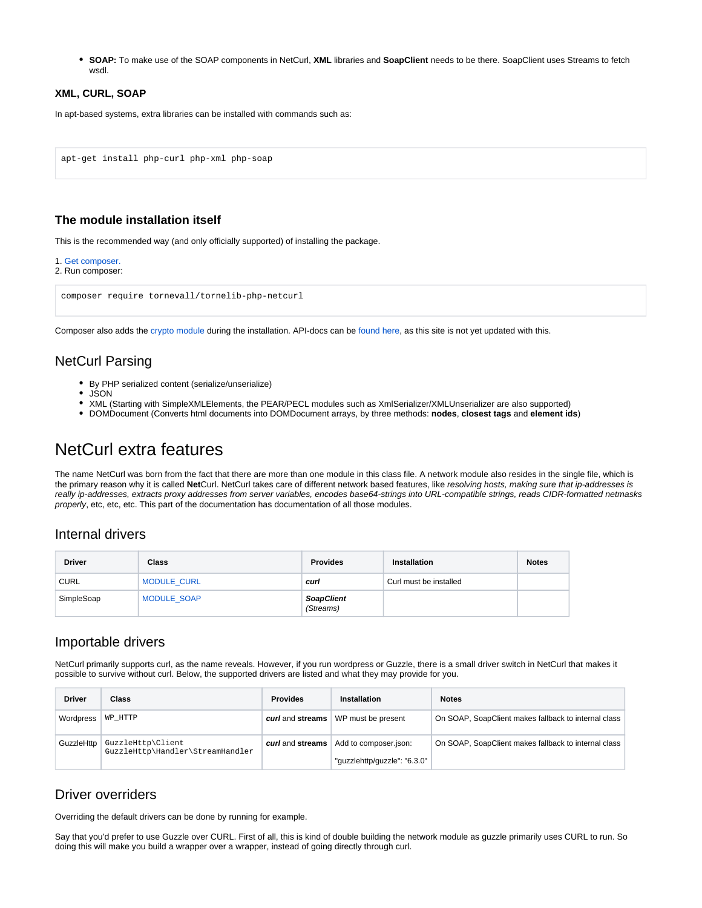**SOAP:** To make use of the SOAP components in NetCurl, **XML** libraries and **SoapClient** needs to be there. SoapClient uses Streams to fetch wsdl.

#### <span id="page-1-0"></span>**XML, CURL, SOAP**

In apt-based systems, extra libraries can be installed with commands such as:

```
apt-get install php-curl php-xml php-soap
```
#### <span id="page-1-1"></span>**The module installation itself**

This is the recommended way (and only officially supported) of installing the package.

```
1. Get composer.
```

```
2. Run composer:
```

```
composer require tornevall/tornelib-php-netcurl
```
Composer also adds the [crypto module](https://packagist.org/packages/tornevall/tornelib-php-crypto) during the installation. API-docs can be [found here,](https://developer.tornevall.net/apigen/tornelib-php/crypto/class-TorneLIB.TorneLIB_Crypto.html) as this site is not yet updated with this.

### <span id="page-1-2"></span>NetCurl Parsing

- By PHP serialized content (serialize/unserialize)
- $\bullet$ JSON
- XML (Starting with SimpleXMLElements, the PEAR/PECL modules such as XmlSerializer/XMLUnserializer are also supported)
- DOMDocument (Converts html documents into DOMDocument arrays, by three methods: **nodes**, **closest tags** and **element ids**)

## <span id="page-1-3"></span>NetCurl extra features

The name NetCurl was born from the fact that there are more than one module in this class file. A network module also resides in the single file, which is the primary reason why it is called **Net**Curl. NetCurl takes care of different network based features, like resolving hosts, making sure that ip-addresses is really ip-addresses, extracts proxy addresses from server variables, encodes base64-strings into URL-compatible strings, reads CIDR-formatted netmasks properly, etc, etc, etc. This part of the documentation has documentation of all those modules.

#### <span id="page-1-4"></span>Internal drivers

| <b>Driver</b> | Class              | <b>Provides</b>                | <b>Installation</b>    | <b>Notes</b> |
|---------------|--------------------|--------------------------------|------------------------|--------------|
| <b>CURL</b>   | <b>MODULE CURL</b> | curl                           | Curl must be installed |              |
| SimpleSoap    | <b>MODULE SOAP</b> | <b>SoapClient</b><br>(Streams) |                        |              |

#### <span id="page-1-5"></span>Importable drivers

NetCurl primarily supports curl, as the name reveals. However, if you run wordpress or Guzzle, there is a small driver switch in NetCurl that makes it possible to survive without curl. Below, the supported drivers are listed and what they may provide for you.

| <b>Driver</b> | <b>Class</b>                                          | <b>Provides</b>  | <b>Installation</b>                                   | <b>Notes</b>                                         |
|---------------|-------------------------------------------------------|------------------|-------------------------------------------------------|------------------------------------------------------|
| Wordpress     | WP HTTP                                               | curl and streams | WP must be present                                    | On SOAP, SoapClient makes fallback to internal class |
| GuzzleHttp    | GuzzleHttp\Client<br>GuzzleHttp\Handler\StreamHandler | curl and streams | Add to composer.json:<br>"guzzlehttp/guzzle": "6.3.0" | On SOAP, SoapClient makes fallback to internal class |
|               |                                                       |                  |                                                       |                                                      |

### <span id="page-1-6"></span>Driver overriders

Overriding the default drivers can be done by running for example.

Say that you'd prefer to use Guzzle over CURL. First of all, this is kind of double building the network module as guzzle primarily uses CURL to run. So doing this will make you build a wrapper over a wrapper, instead of going directly through curl.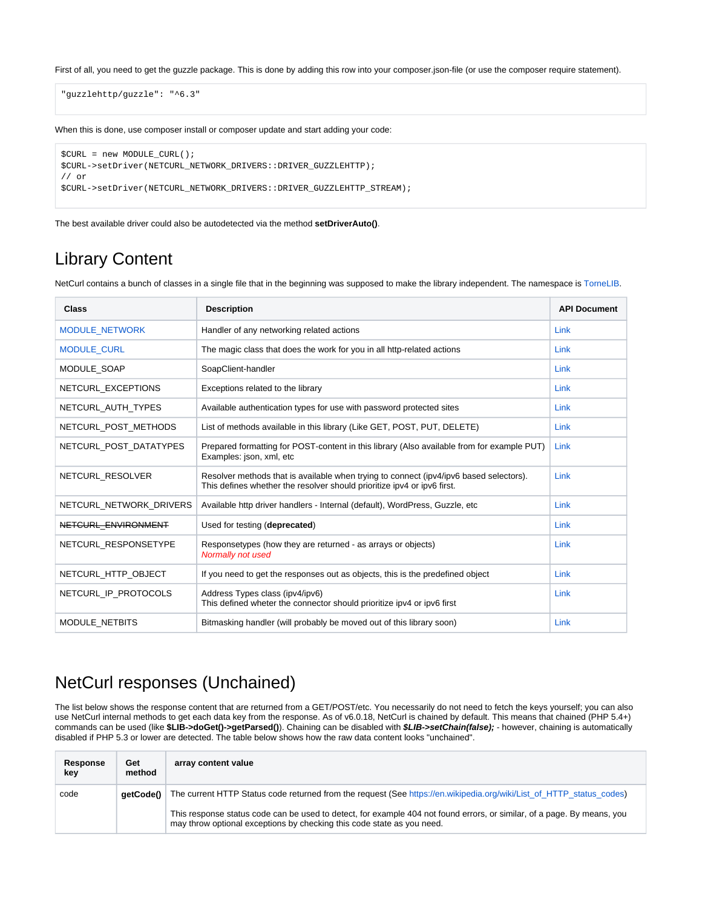First of all, you need to get the guzzle package. This is done by adding this row into your composer.json-file (or use the composer require statement).

"guzzlehttp/guzzle": "^6.3"

When this is done, use composer install or composer update and start adding your code:

```
$CURL = new MODULE_CURL();
$CURL->setDriver(NETCURL_NETWORK_DRIVERS::DRIVER_GUZZLEHTTP);
// or
$CURL->setDriver(NETCURL_NETWORK_DRIVERS::DRIVER_GUZZLEHTTP_STREAM);
```
The best available driver could also be autodetected via the method **setDriverAuto()**.

### <span id="page-2-0"></span>Library Content

NetCurl contains a bunch of classes in a single file that in the beginning was supposed to make the library independent. The namespace is [TorneLIB](https://developer.tornevall.net/apigen/tornelib-php/netcurl/namespace-TorneLIB.html).

| <b>Class</b>            | <b>Description</b>                                                                                                                                                | <b>API Document</b> |
|-------------------------|-------------------------------------------------------------------------------------------------------------------------------------------------------------------|---------------------|
| MODULE_NETWORK          | Handler of any networking related actions                                                                                                                         | Link                |
| <b>MODULE CURL</b>      | The magic class that does the work for you in all http-related actions                                                                                            | Link                |
| MODULE SOAP             | SoapClient-handler                                                                                                                                                | Link                |
| NETCURL EXCEPTIONS      | Exceptions related to the library                                                                                                                                 | Link                |
| NETCURL AUTH TYPES      | Available authentication types for use with password protected sites                                                                                              | Link                |
| NETCURL POST METHODS    | List of methods available in this library (Like GET, POST, PUT, DELETE)                                                                                           | Link                |
| NETCURL POST DATATYPES  | Prepared formatting for POST-content in this library (Also available from for example PUT)<br>Examples: json, xml, etc                                            | Link                |
| NETCURL RESOLVER        | Resolver methods that is available when trying to connect (ipv4/ipv6 based selectors).<br>This defines whether the resolver should prioritize ipv4 or ipv6 first. | Link                |
| NETCURL NETWORK DRIVERS | Available http driver handlers - Internal (default), WordPress, Guzzle, etc                                                                                       | Link                |
| NETCURL ENVIRONMENT     | Used for testing (deprecated)                                                                                                                                     | Link                |
| NETCURL RESPONSETYPE    | Responsetypes (how they are returned - as arrays or objects)<br>Normally not used                                                                                 | Link                |
| NETCURL HTTP OBJECT     | If you need to get the responses out as objects, this is the predefined object                                                                                    | Link                |
| NETCURL_IP_PROTOCOLS    | Address Types class (ipv4/ipv6)<br>This defined wheter the connector should prioritize ipv4 or ipv6 first                                                         | Link                |
| MODULE NETBITS          | Bitmasking handler (will probably be moved out of this library soon)                                                                                              | Link                |

### <span id="page-2-1"></span>NetCurl responses (Unchained)

The list below shows the response content that are returned from a GET/POST/etc. You necessarily do not need to fetch the keys yourself; you can also use NetCurl internal methods to get each data key from the response. As of v6.0.18, NetCurl is chained by default. This means that chained (PHP 5.4+) commands can be used (like **\$LIB->doGet()->getParsed()**). Chaining can be disabled with **\$LIB->setChain(false);** - however, chaining is automatically disabled if PHP 5.3 or lower are detected. The table below shows how the raw data content looks "unchained".

| Response<br>kev | Get<br>method | array content value                                                                                                                                                                               |
|-----------------|---------------|---------------------------------------------------------------------------------------------------------------------------------------------------------------------------------------------------|
| code            | aetCode()     | The current HTTP Status code returned from the request (See https://en.wikipedia.org/wiki/List of HTTP status codes)                                                                              |
|                 |               | This response status code can be used to detect, for example 404 not found errors, or similar, of a page. By means, you<br>may throw optional exceptions by checking this code state as you need. |